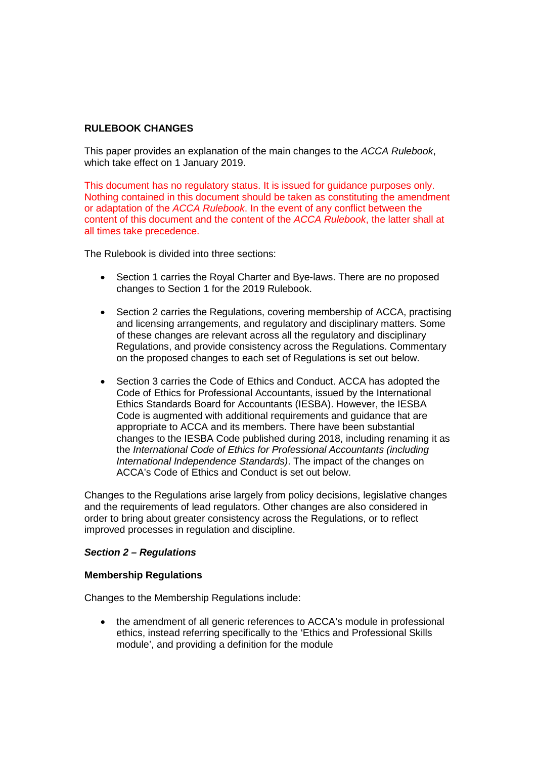# **RULEBOOK CHANGES**

This paper provides an explanation of the main changes to the *ACCA Rulebook*, which take effect on 1 January 2019.

This document has no regulatory status. It is issued for guidance purposes only. Nothing contained in this document should be taken as constituting the amendment or adaptation of the *ACCA Rulebook*. In the event of any conflict between the content of this document and the content of the *ACCA Rulebook*, the latter shall at all times take precedence.

The Rulebook is divided into three sections:

- Section 1 carries the Roval Charter and Bye-laws. There are no proposed changes to Section 1 for the 2019 Rulebook.
- Section 2 carries the Regulations, covering membership of ACCA, practising and licensing arrangements, and regulatory and disciplinary matters. Some of these changes are relevant across all the regulatory and disciplinary Regulations, and provide consistency across the Regulations. Commentary on the proposed changes to each set of Regulations is set out below.
- Section 3 carries the Code of Ethics and Conduct. ACCA has adopted the Code of Ethics for Professional Accountants, issued by the International Ethics Standards Board for Accountants (IESBA). However, the IESBA Code is augmented with additional requirements and guidance that are appropriate to ACCA and its members. There have been substantial changes to the IESBA Code published during 2018, including renaming it as the *International Code of Ethics for Professional Accountants (including International Independence Standards)*. The impact of the changes on ACCA's Code of Ethics and Conduct is set out below.

Changes to the Regulations arise largely from policy decisions, legislative changes and the requirements of lead regulators. Other changes are also considered in order to bring about greater consistency across the Regulations, or to reflect improved processes in regulation and discipline.

## *Section 2 – Regulations*

#### **Membership Regulations**

Changes to the Membership Regulations include:

• the amendment of all generic references to ACCA's module in professional ethics, instead referring specifically to the 'Ethics and Professional Skills module', and providing a definition for the module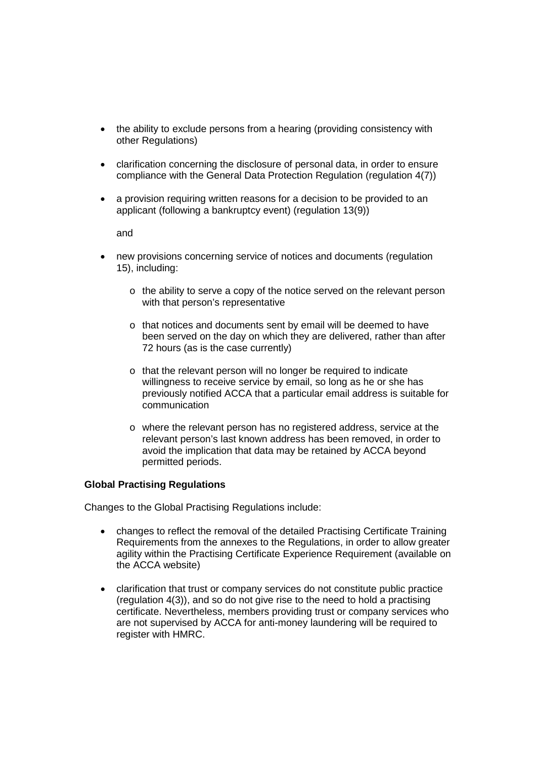- the ability to exclude persons from a hearing (providing consistency with other Regulations)
- clarification concerning the disclosure of personal data, in order to ensure compliance with the General Data Protection Regulation (regulation 4(7))
- a provision requiring written reasons for a decision to be provided to an applicant (following a bankruptcy event) (regulation 13(9))

and

- new provisions concerning service of notices and documents (regulation 15), including:
	- o the ability to serve a copy of the notice served on the relevant person with that person's representative
	- o that notices and documents sent by email will be deemed to have been served on the day on which they are delivered, rather than after 72 hours (as is the case currently)
	- o that the relevant person will no longer be required to indicate willingness to receive service by email, so long as he or she has previously notified ACCA that a particular email address is suitable for communication
	- o where the relevant person has no registered address, service at the relevant person's last known address has been removed, in order to avoid the implication that data may be retained by ACCA beyond permitted periods.

## **Global Practising Regulations**

Changes to the Global Practising Regulations include:

- changes to reflect the removal of the detailed Practising Certificate Training Requirements from the annexes to the Regulations, in order to allow greater agility within the Practising Certificate Experience Requirement (available on the ACCA website)
- clarification that trust or company services do not constitute public practice (regulation 4(3)), and so do not give rise to the need to hold a practising certificate. Nevertheless, members providing trust or company services who are not supervised by ACCA for anti-money laundering will be required to register with HMRC.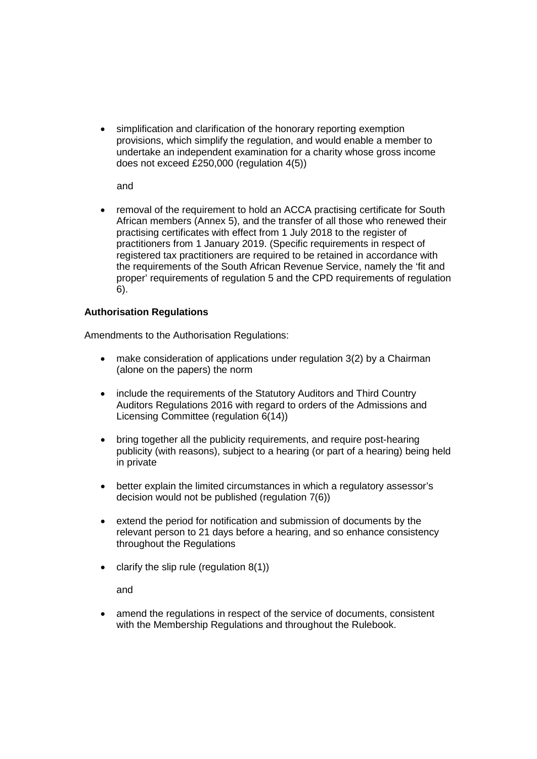• simplification and clarification of the honorary reporting exemption provisions, which simplify the regulation, and would enable a member to undertake an independent examination for a charity whose gross income does not exceed £250,000 (regulation 4(5))

and

• removal of the requirement to hold an ACCA practising certificate for South African members (Annex 5), and the transfer of all those who renewed their practising certificates with effect from 1 July 2018 to the register of practitioners from 1 January 2019. (Specific requirements in respect of registered tax practitioners are required to be retained in accordance with the requirements of the South African Revenue Service, namely the 'fit and proper' requirements of regulation 5 and the CPD requirements of regulation 6).

## **Authorisation Regulations**

Amendments to the Authorisation Regulations:

- make consideration of applications under regulation 3(2) by a Chairman (alone on the papers) the norm
- include the requirements of the Statutory Auditors and Third Country Auditors Regulations 2016 with regard to orders of the Admissions and Licensing Committee (regulation 6(14))
- bring together all the publicity requirements, and require post-hearing publicity (with reasons), subject to a hearing (or part of a hearing) being held in private
- better explain the limited circumstances in which a regulatory assessor's decision would not be published (regulation 7(6))
- extend the period for notification and submission of documents by the relevant person to 21 days before a hearing, and so enhance consistency throughout the Regulations
- $\bullet$  clarify the slip rule (regulation 8(1))

and

amend the regulations in respect of the service of documents, consistent with the Membership Regulations and throughout the Rulebook.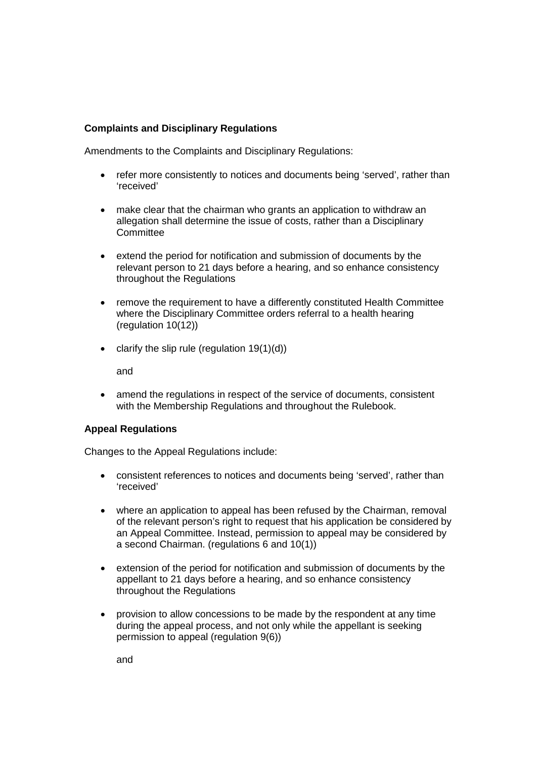## **Complaints and Disciplinary Regulations**

Amendments to the Complaints and Disciplinary Regulations:

- refer more consistently to notices and documents being 'served', rather than 'received'
- make clear that the chairman who grants an application to withdraw an allegation shall determine the issue of costs, rather than a Disciplinary **Committee**
- extend the period for notification and submission of documents by the relevant person to 21 days before a hearing, and so enhance consistency throughout the Regulations
- remove the requirement to have a differently constituted Health Committee where the Disciplinary Committee orders referral to a health hearing (regulation 10(12))
- clarify the slip rule (regulation  $19(1)(d)$ )

and

• amend the regulations in respect of the service of documents, consistent with the Membership Regulations and throughout the Rulebook.

#### **Appeal Regulations**

Changes to the Appeal Regulations include:

- consistent references to notices and documents being 'served', rather than 'received'
- where an application to appeal has been refused by the Chairman, removal of the relevant person's right to request that his application be considered by an Appeal Committee. Instead, permission to appeal may be considered by a second Chairman. (regulations 6 and 10(1))
- extension of the period for notification and submission of documents by the appellant to 21 days before a hearing, and so enhance consistency throughout the Regulations
- provision to allow concessions to be made by the respondent at any time during the appeal process, and not only while the appellant is seeking permission to appeal (regulation 9(6))

and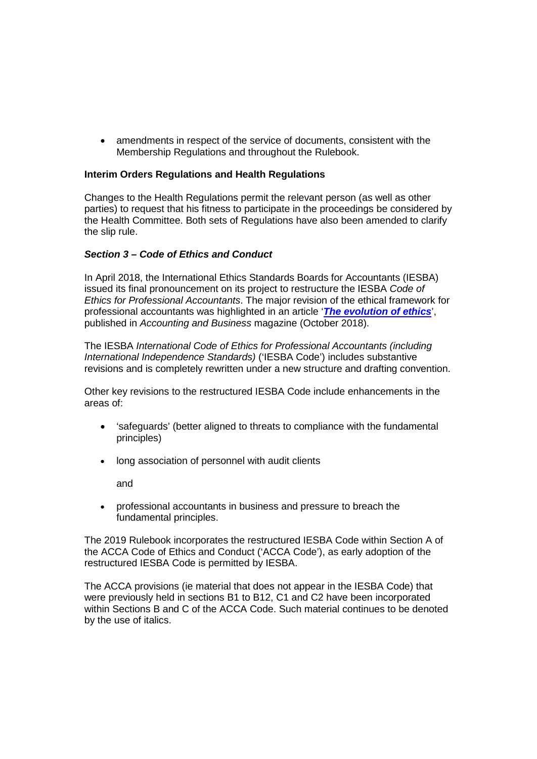• amendments in respect of the service of documents, consistent with the Membership Regulations and throughout the Rulebook.

#### **Interim Orders Regulations and Health Regulations**

Changes to the Health Regulations permit the relevant person (as well as other parties) to request that his fitness to participate in the proceedings be considered by the Health Committee. Both sets of Regulations have also been amended to clarify the slip rule.

#### *Section 3 – Code of Ethics and Conduct*

In April 2018, the International Ethics Standards Boards for Accountants (IESBA) issued its final pronouncement on its project to restructure the IESBA *Code of Ethics for Professional Accountants*. The major revision of the ethical framework for professional accountants was highlighted in an article '*[The evolution of ethics](https://www.accaglobal.com/uk/en/member/discover/cpd-articles/governance-risk-control/ethicscode-cpd.html)*', published in *Accounting and Business* magazine (October 2018).

The IESBA *International Code of Ethics for Professional Accountants (including International Independence Standards)* ('IESBA Code') includes substantive revisions and is completely rewritten under a new structure and drafting convention.

Other key revisions to the restructured IESBA Code include enhancements in the areas of:

- 'safeguards' (better aligned to threats to compliance with the fundamental principles)
- long association of personnel with audit clients

and

• professional accountants in business and pressure to breach the fundamental principles.

The 2019 Rulebook incorporates the restructured IESBA Code within Section A of the ACCA Code of Ethics and Conduct ('ACCA Code'), as early adoption of the restructured IESBA Code is permitted by IESBA.

The ACCA provisions (ie material that does not appear in the IESBA Code) that were previously held in sections B1 to B12, C1 and C2 have been incorporated within Sections B and C of the ACCA Code. Such material continues to be denoted by the use of italics.